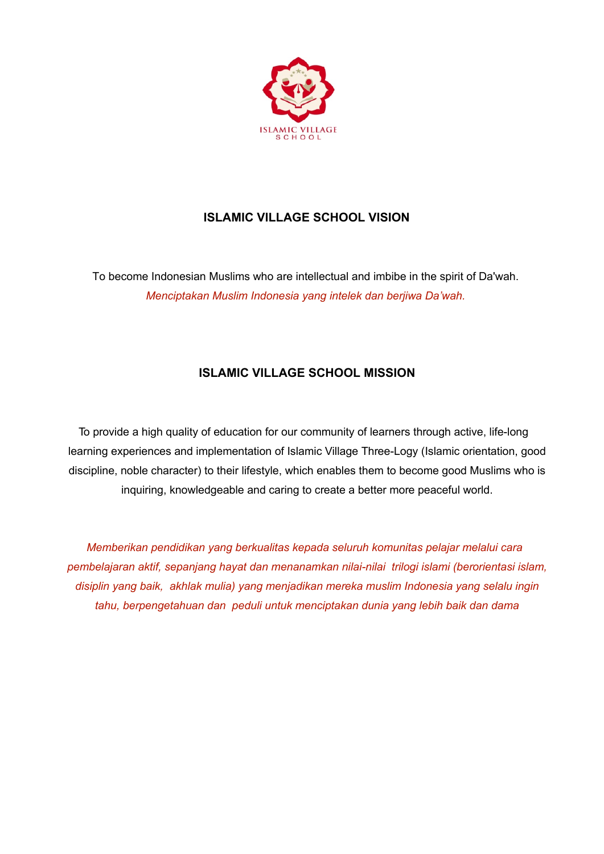

# **ISLAMIC VILLAGE SCHOOL VISION**

To become Indonesian Muslims who are intellectual and imbibe in the spirit of Da'wah. *Menciptakan Muslim Indonesia yang intelek dan berjiwa Da'wah.*

## **ISLAMIC VILLAGE SCHOOL MISSION**

To provide a high quality of education for our community of learners through active, life-long learning experiences and implementation of Islamic Village Three-Logy (Islamic orientation, good discipline, noble character) to their lifestyle, which enables them to become good Muslims who is inquiring, knowledgeable and caring to create a better more peaceful world.

*Memberikan pendidikan yang berkualitas kepada seluruh komunitas pelajar melalui cara pembelajaran aktif, sepanjang hayat dan menanamkan nilai-nilai trilogi islami (berorientasi islam, disiplin yang baik, akhlak mulia) yang menjadikan mereka muslim Indonesia yang selalu ingin tahu, berpengetahuan dan peduli untuk menciptakan dunia yang lebih baik dan dama*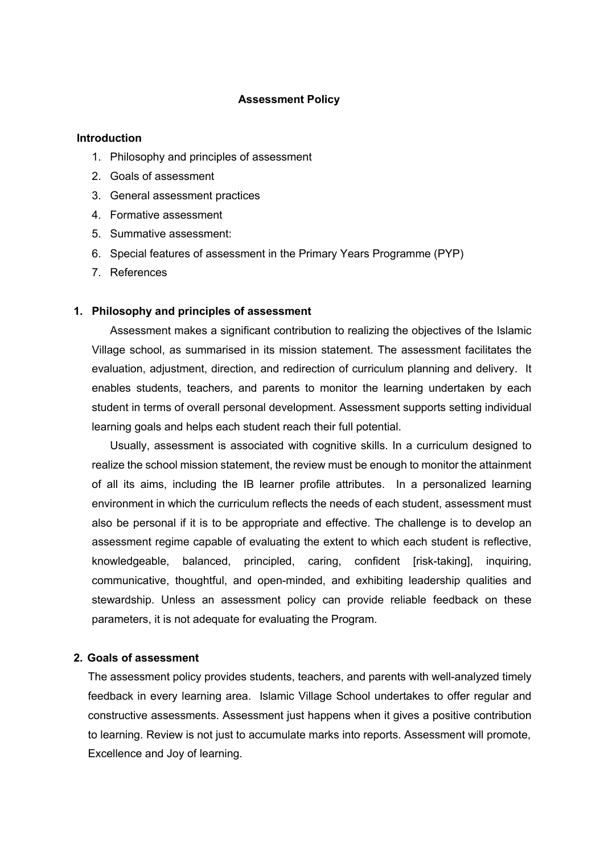#### **Assessment Policy**

#### **Introduction**

- 1. Philosophy and principles of assessment
- 2. Goals of assessment
- 3. General assessment practices
- 4. Formative assessment
- 5. Summative assessment:
- 6. Special features of assessment in the Primary Years Programme (PYP)
- 7. References

#### **1. Philosophy and principles of assessment**

Assessment makes a significant contribution to realizing the objectives of the Islamic Village school, as summarised in its mission statement. The assessment facilitates the evaluation, adjustment, direction, and redirection of curriculum planning and delivery. It enables students, teachers, and parents to monitor the learning undertaken by each student in terms of overall personal development. Assessment supports setting individual learning goals and helps each student reach their full potential.

Usually, assessment is associated with cognitive skills. In a curriculum designed to realize the school mission statement, the review must be enough to monitor the attainment of all its aims, including the IB learner profile attributes. In a personalized learning environment in which the curriculum reflects the needs of each student, assessment must also be personal if it is to be appropriate and effective. The challenge is to develop an assessment regime capable of evaluating the extent to which each student is reflective, knowledgeable, balanced, principled, caring, confident [risk-taking], inquiring, communicative, thoughtful, and open-minded, and exhibiting leadership qualities and stewardship. Unless an assessment policy can provide reliable feedback on these parameters, it is not adequate for evaluating the Program.

#### **2. Goals of assessment**

The assessment policy provides students, teachers, and parents with well-analyzed timely feedback in every learning area. Islamic Village School undertakes to offer regular and constructive assessments. Assessment just happens when it gives a positive contribution to learning. Review is not just to accumulate marks into reports. Assessment will promote, Excellence and Joy of learning.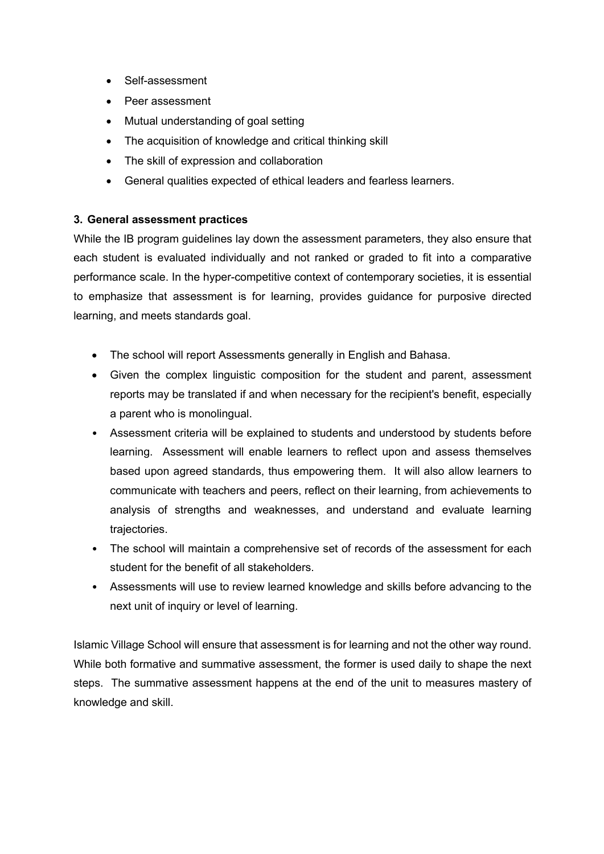- Self-assessment
- Peer assessment
- Mutual understanding of goal setting
- The acquisition of knowledge and critical thinking skill
- The skill of expression and collaboration
- General qualities expected of ethical leaders and fearless learners.

## **3. General assessment practices**

While the IB program guidelines lay down the assessment parameters, they also ensure that each student is evaluated individually and not ranked or graded to fit into a comparative performance scale. In the hyper-competitive context of contemporary societies, it is essential to emphasize that assessment is for learning, provides guidance for purposive directed learning, and meets standards goal.

- The school will report Assessments generally in English and Bahasa.
- Given the complex linguistic composition for the student and parent, assessment reports may be translated if and when necessary for the recipient's benefit, especially a parent who is monolingual.
- Assessment criteria will be explained to students and understood by students before learning. Assessment will enable learners to reflect upon and assess themselves based upon agreed standards, thus empowering them. It will also allow learners to communicate with teachers and peers, reflect on their learning, from achievements to analysis of strengths and weaknesses, and understand and evaluate learning trajectories.
- The school will maintain a comprehensive set of records of the assessment for each student for the benefit of all stakeholders.
- Assessments will use to review learned knowledge and skills before advancing to the next unit of inquiry or level of learning.

Islamic Village School will ensure that assessment is for learning and not the other way round. While both formative and summative assessment, the former is used daily to shape the next steps. The summative assessment happens at the end of the unit to measures mastery of knowledge and skill.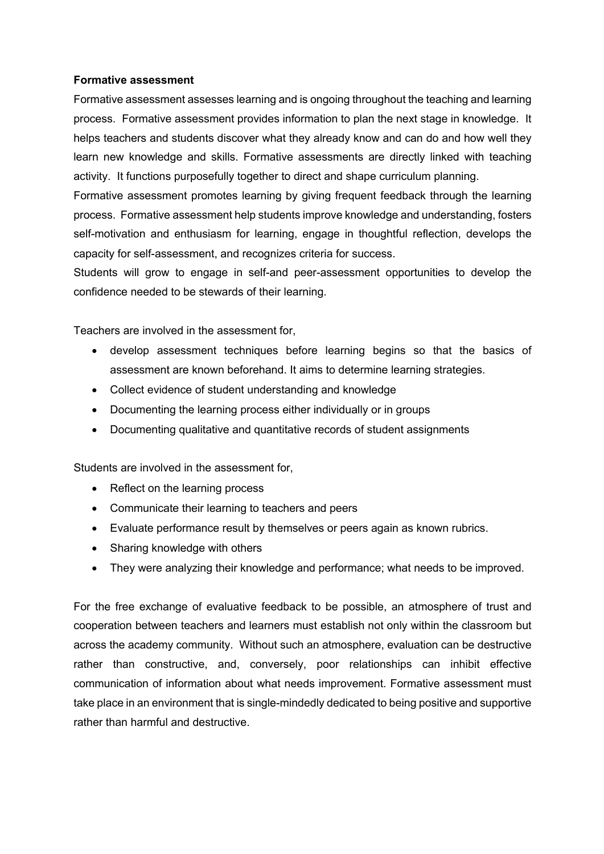### **Formative assessment**

Formative assessment assesses learning and is ongoing throughout the teaching and learning process. Formative assessment provides information to plan the next stage in knowledge. It helps teachers and students discover what they already know and can do and how well they learn new knowledge and skills. Formative assessments are directly linked with teaching activity. It functions purposefully together to direct and shape curriculum planning.

Formative assessment promotes learning by giving frequent feedback through the learning process. Formative assessment help students improve knowledge and understanding, fosters self-motivation and enthusiasm for learning, engage in thoughtful reflection, develops the capacity for self-assessment, and recognizes criteria for success.

Students will grow to engage in self-and peer-assessment opportunities to develop the confidence needed to be stewards of their learning.

Teachers are involved in the assessment for,

- develop assessment techniques before learning begins so that the basics of assessment are known beforehand. It aims to determine learning strategies.
- Collect evidence of student understanding and knowledge
- Documenting the learning process either individually or in groups
- Documenting qualitative and quantitative records of student assignments

Students are involved in the assessment for,

- Reflect on the learning process
- Communicate their learning to teachers and peers
- Evaluate performance result by themselves or peers again as known rubrics.
- Sharing knowledge with others
- They were analyzing their knowledge and performance; what needs to be improved.

For the free exchange of evaluative feedback to be possible, an atmosphere of trust and cooperation between teachers and learners must establish not only within the classroom but across the academy community. Without such an atmosphere, evaluation can be destructive rather than constructive, and, conversely, poor relationships can inhibit effective communication of information about what needs improvement. Formative assessment must take place in an environment that is single-mindedly dedicated to being positive and supportive rather than harmful and destructive.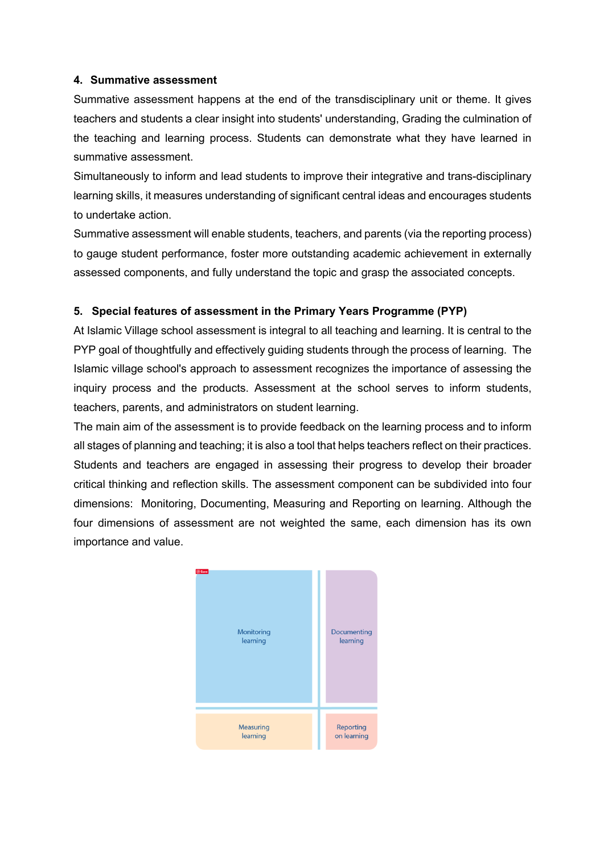## **4. Summative assessment**

Summative assessment happens at the end of the transdisciplinary unit or theme. It gives teachers and students a clear insight into students' understanding, Grading the culmination of the teaching and learning process. Students can demonstrate what they have learned in summative assessment.

Simultaneously to inform and lead students to improve their integrative and trans-disciplinary learning skills, it measures understanding of significant central ideas and encourages students to undertake action.

Summative assessment will enable students, teachers, and parents (via the reporting process) to gauge student performance, foster more outstanding academic achievement in externally assessed components, and fully understand the topic and grasp the associated concepts.

## **5. Special features of assessment in the Primary Years Programme (PYP)**

At Islamic Village school assessment is integral to all teaching and learning. It is central to the PYP goal of thoughtfully and effectively guiding students through the process of learning. The Islamic village school's approach to assessment recognizes the importance of assessing the inquiry process and the products. Assessment at the school serves to inform students, teachers, parents, and administrators on student learning.

The main aim of the assessment is to provide feedback on the learning process and to inform all stages of planning and teaching; it is also a tool that helps teachers reflect on their practices. Students and teachers are engaged in assessing their progress to develop their broader critical thinking and reflection skills. The assessment component can be subdivided into four dimensions: Monitoring, Documenting, Measuring and Reporting on learning. Although the four dimensions of assessment are not weighted the same, each dimension has its own importance and value.

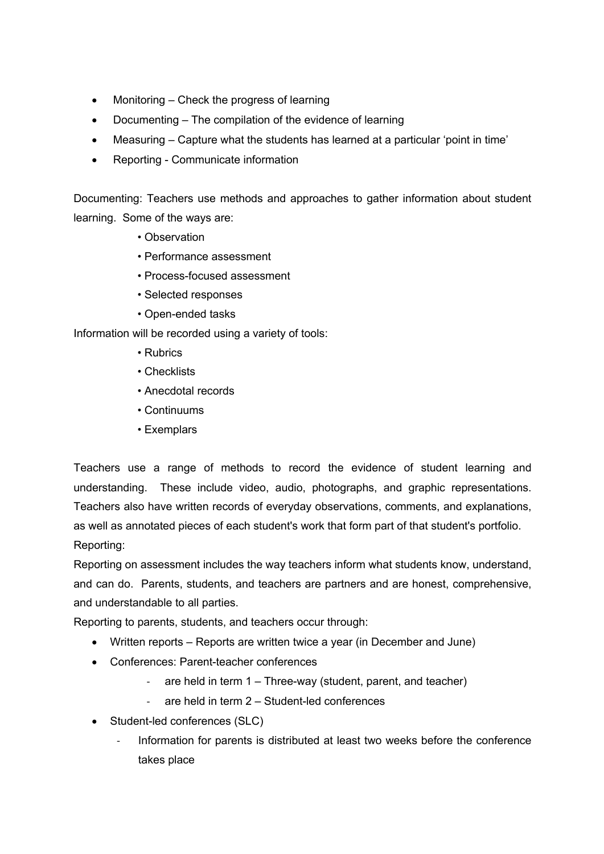- Monitoring Check the progress of learning
- Documenting The compilation of the evidence of learning
- Measuring Capture what the students has learned at a particular 'point in time'
- Reporting Communicate information

Documenting: Teachers use methods and approaches to gather information about student learning. Some of the ways are:

- Observation
- Performance assessment
- Process-focused assessment
- Selected responses
- Open-ended tasks

Information will be recorded using a variety of tools:

- Rubrics
- Checklists
- Anecdotal records
- Continuums
- Exemplars

Teachers use a range of methods to record the evidence of student learning and understanding. These include video, audio, photographs, and graphic representations. Teachers also have written records of everyday observations, comments, and explanations, as well as annotated pieces of each student's work that form part of that student's portfolio. Reporting:

Reporting on assessment includes the way teachers inform what students know, understand, and can do. Parents, students, and teachers are partners and are honest, comprehensive, and understandable to all parties.

Reporting to parents, students, and teachers occur through:

- Written reports Reports are written twice a year (in December and June)
- Conferences: Parent-teacher conferences
	- are held in term 1 Three-way (student, parent, and teacher)
	- are held in term  $2 -$  Student-led conferences
- Student-led conferences (SLC)
	- Information for parents is distributed at least two weeks before the conference takes place